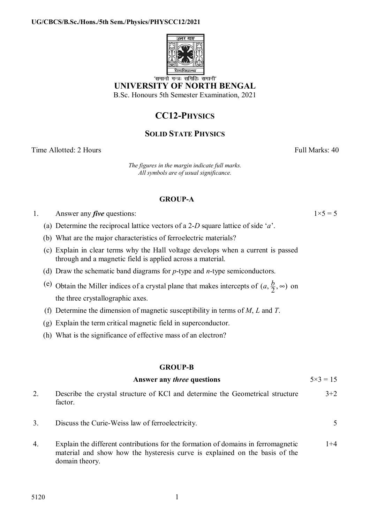

'समानो मन्त्रः समितिः समानी' **UNIVERSITY OF NORTH BENGAL**  B.Sc. Honours 5th Semester Examination, 2021

**CC12-PHYSICS**

# **SOLID STATE PHYSICS**

Time Allotted: 2 Hours **Full Marks: 40** 

*The figures in the margin indicate full marks. All symbols are of usual significance.*

# **GROUP-A**

1. Answer any *five* questions:  $1 \times 5 = 5$ 

(a) Determine the reciprocal lattice vectors of a 2-*D* square lattice of side '*a*'.

(b) What are the major characteristics of ferroelectric materials?

- (c) Explain in clear terms why the Hall voltage develops when a current is passed through and a magnetic field is applied across a material.
- (d) Draw the schematic band diagrams for *p*-type and *n*-type semiconductors.
- (e) Obtain the Miller indices of a crystal plane that makes intercepts of  $(a, \frac{b}{2}, \infty)$  on the three crystallographic axes.
- (f) Determine the dimension of magnetic susceptibility in terms of *M*, *L* and *T*.
- (g) Explain the term critical magnetic field in superconductor.
- (h) What is the significance of effective mass of an electron?

# **GROUP-B**

| Answer any <i>three</i> questions | $5 \times 3 = 15$ |
|-----------------------------------|-------------------|
|                                   |                   |

- 2. Describe the crystal structure of KCl and determine the Geometrical structure factor.  $3+2$
- 3. Discuss the Curie-Weiss law of ferroelectricity. 5
- 4. Explain the different contributions for the formation of domains in ferromagnetic material and show how the hysteresis curve is explained on the basis of the domain theory.  $1+4$